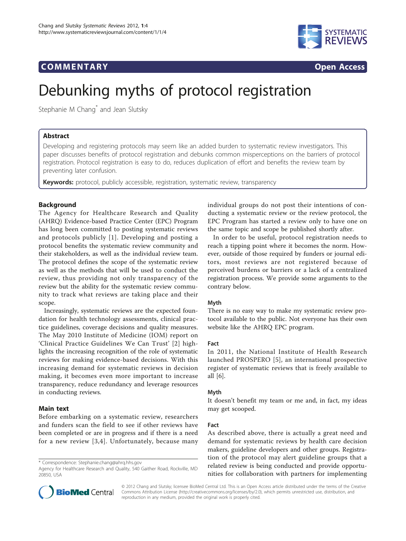# **COMMENTARY COMMENTARY Open Access**



# Debunking myths of protocol registration

Stephanie M Chang<sup>\*</sup> and Jean Slutsky

# Abstract

Developing and registering protocols may seem like an added burden to systematic review investigators. This paper discusses benefits of protocol registration and debunks common misperceptions on the barriers of protocol registration. Protocol registration is easy to do, reduces duplication of effort and benefits the review team by preventing later confusion.

**Keywords:** protocol, publicly accessible, registration, systematic review, transparency

# **Background**

The Agency for Healthcare Research and Quality (AHRQ) Evidence-based Practice Center (EPC) Program has long been committed to posting systematic reviews and protocols publicly [[1](#page-1-0)]. Developing and posting a protocol benefits the systematic review community and their stakeholders, as well as the individual review team. The protocol defines the scope of the systematic review as well as the methods that will be used to conduct the review, thus providing not only transparency of the review but the ability for the systematic review community to track what reviews are taking place and their scope.

Increasingly, systematic reviews are the expected foundation for health technology assessments, clinical practice guidelines, coverage decisions and quality measures. The May 2010 Institute of Medicine (IOM) report on 'Clinical Practice Guidelines We Can Trust' [[2](#page-1-0)] highlights the increasing recognition of the role of systematic reviews for making evidence-based decisions. With this increasing demand for systematic reviews in decision making, it becomes even more important to increase transparency, reduce redundancy and leverage resources in conducting reviews.

# Main text

Before embarking on a systematic review, researchers and funders scan the field to see if other reviews have been completed or are in progress and if there is a need for a new review [[3,4\]](#page-1-0). Unfortunately, because many individual groups do not post their intentions of conducting a systematic review or the review protocol, the EPC Program has started a review only to have one on the same topic and scope be published shortly after.

In order to be useful, protocol registration needs to reach a tipping point where it becomes the norm. However, outside of those required by funders or journal editors, most reviews are not registered because of perceived burdens or barriers or a lack of a centralized registration process. We provide some arguments to the contrary below.

# Myth

There is no easy way to make my systematic review protocol available to the public. Not everyone has their own website like the AHRQ EPC program.

#### Fact

In 2011, the National Institute of Health Research launched PROSPERO [[5](#page-1-0)], an international prospective register of systematic reviews that is freely available to all [[6](#page-1-0)].

#### Myth

It doesn't benefit my team or me and, in fact, my ideas may get scooped.

#### Fact

As described above, there is actually a great need and demand for systematic reviews by health care decision makers, guideline developers and other groups. Registration of the protocol may alert guideline groups that a related review is being conducted and provide opportunities for collaboration with partners for implementing



© 2012 Chang and Slutsky; licensee BioMed Central Ltd. This is an Open Access article distributed under the terms of the Creative Commons Attribution License [\(http://creativecommons.org/licenses/by/2.0](http://creativecommons.org/licenses/by/2.0)), which permits unrestricted use, distribution, and reproduction in any medium, provided the original work is properly cited.

<sup>\*</sup> Correspondence: [Stephanie.chang@ahrq.hhs.gov](mailto:Stephanie.chang@ahrq.hhs.gov)

Agency for Healthcare Research and Quality, 540 Gaither Road, Rockville, MD 20850, USA